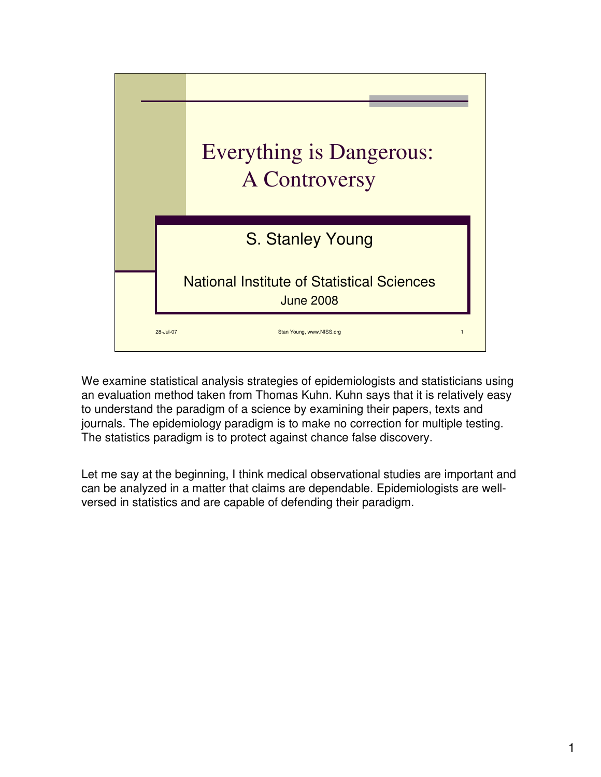

We examine statistical analysis strategies of epidemiologists and statisticians using an evaluation method taken from Thomas Kuhn. Kuhn says that it is relatively easy to understand the paradigm of a science by examining their papers, texts and journals. The epidemiology paradigm is to make no correction for multiple testing. The statistics paradigm is to protect against chance false discovery.

Let me say at the beginning, I think medical observational studies are important and can be analyzed in a matter that claims are dependable. Epidemiologists are wellversed in statistics and are capable of defending their paradigm.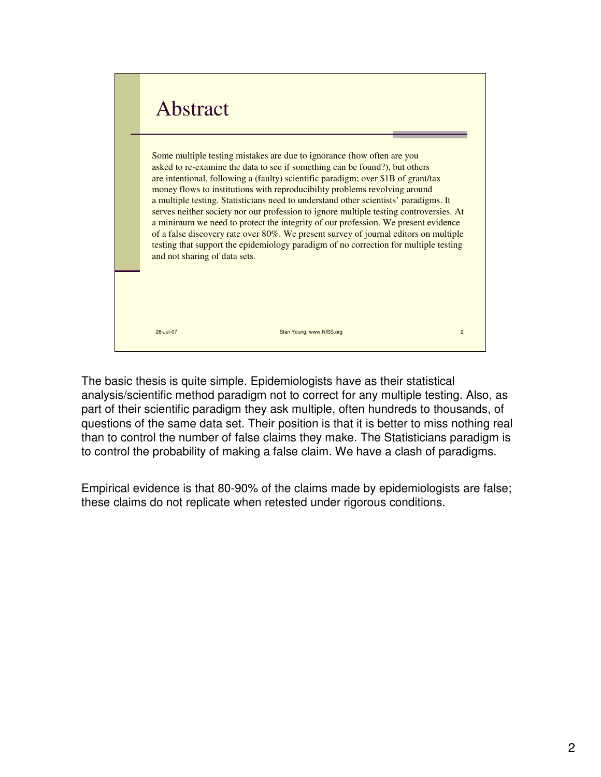

The basic thesis is quite simple. Epidemiologists have as their statistical analysis/scientific method paradigm not to correct for any multiple testing. Also, as part of their scientific paradigm they ask multiple, often hundreds to thousands, of questions of the same data set. Their position is that it is better to miss nothing real than to control the number of false claims they make. The Statisticians paradigm is to control the probability of making a false claim. We have a clash of paradigms.

Empirical evidence is that 80-90% of the claims made by epidemiologists are false; these claims do not replicate when retested under rigorous conditions.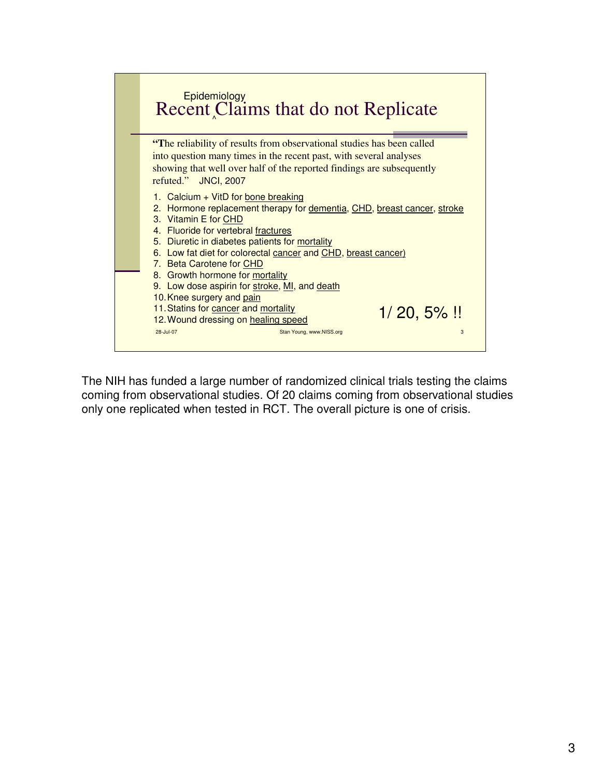

The NIH has funded a large number of randomized clinical trials testing the claims coming from observational studies. Of 20 claims coming from observational studies only one replicated when tested in RCT. The overall picture is one of crisis.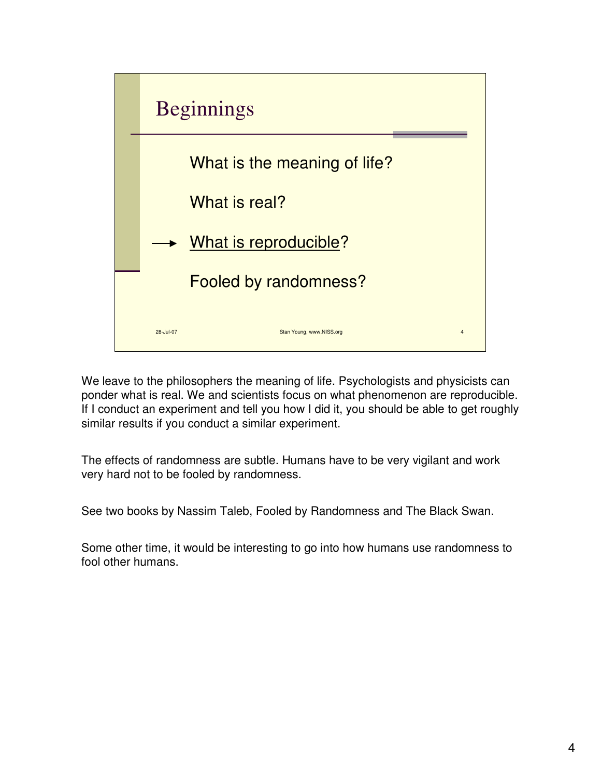

We leave to the philosophers the meaning of life. Psychologists and physicists can ponder what is real. We and scientists focus on what phenomenon are reproducible. If I conduct an experiment and tell you how I did it, you should be able to get roughly similar results if you conduct a similar experiment.

The effects of randomness are subtle. Humans have to be very vigilant and work very hard not to be fooled by randomness.

See two books by Nassim Taleb, Fooled by Randomness and The Black Swan.

Some other time, it would be interesting to go into how humans use randomness to fool other humans.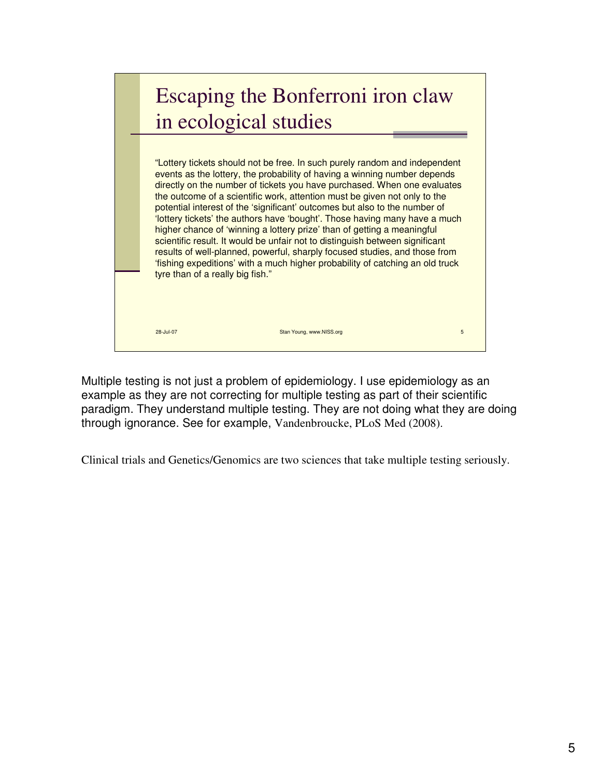## 28-Jul-07 Stan Young, www.NISS.org 5 Stan Young, www.NISS.org 5 Stan Young, www.NISS.org 5 Stan Young, www.NISS.org 5 Stan Young, www.NISS.org 5 Stan Young, www.NISS.org 5 Stan Young, www.NISS.org 5 Stan Young, www.NISS.or Escaping the Bonferroni iron claw in ecological studies "Lottery tickets should not be free. In such purely random and independent events as the lottery, the probability of having a winning number depends directly on the number of tickets you have purchased. When one evaluates the outcome of a scientific work, attention must be given not only to the potential interest of the 'significant' outcomes but also to the number of 'lottery tickets' the authors have 'bought'. Those having many have a much higher chance of 'winning a lottery prize' than of getting a meaningful scientific result. It would be unfair not to distinguish between significant results of well-planned, powerful, sharply focused studies, and those from 'fishing expeditions' with a much higher probability of catching an old truck tyre than of a really big fish."

Multiple testing is not just a problem of epidemiology. I use epidemiology as an example as they are not correcting for multiple testing as part of their scientific paradigm. They understand multiple testing. They are not doing what they are doing through ignorance. See for example, Vandenbroucke, PLoS Med (2008).

Clinical trials and Genetics/Genomics are two sciences that take multiple testing seriously.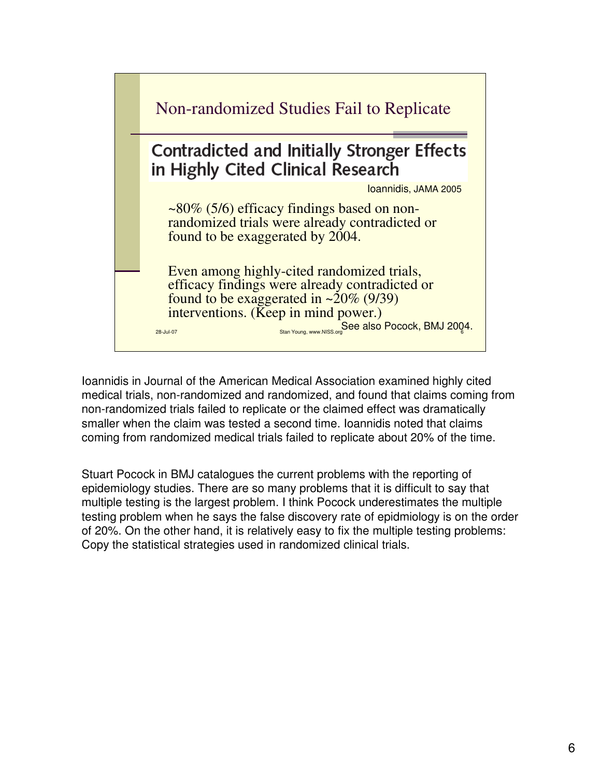

Ioannidis in Journal of the American Medical Association examined highly cited medical trials, non-randomized and randomized, and found that claims coming from non-randomized trials failed to replicate or the claimed effect was dramatically smaller when the claim was tested a second time. Ioannidis noted that claims coming from randomized medical trials failed to replicate about 20% of the time.

Stuart Pocock in BMJ catalogues the current problems with the reporting of epidemiology studies. There are so many problems that it is difficult to say that multiple testing is the largest problem. I think Pocock underestimates the multiple testing problem when he says the false discovery rate of epidmiology is on the order of 20%. On the other hand, it is relatively easy to fix the multiple testing problems: Copy the statistical strategies used in randomized clinical trials.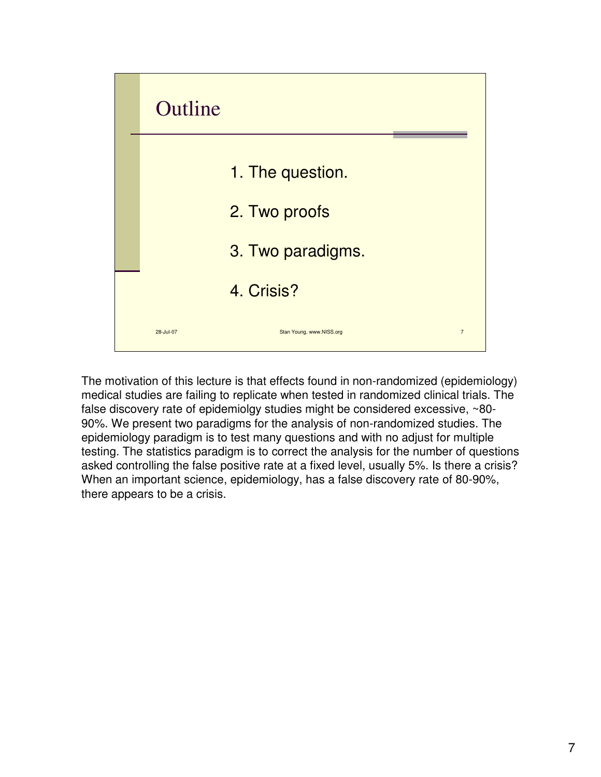

The motivation of this lecture is that effects found in non-randomized (epidemiology) medical studies are failing to replicate when tested in randomized clinical trials. The false discovery rate of epidemiolgy studies might be considered excessive, ~80- 90%. We present two paradigms for the analysis of non-randomized studies. The epidemiology paradigm is to test many questions and with no adjust for multiple testing. The statistics paradigm is to correct the analysis for the number of questions asked controlling the false positive rate at a fixed level, usually 5%. Is there a crisis? When an important science, epidemiology, has a false discovery rate of 80-90%, there appears to be a crisis.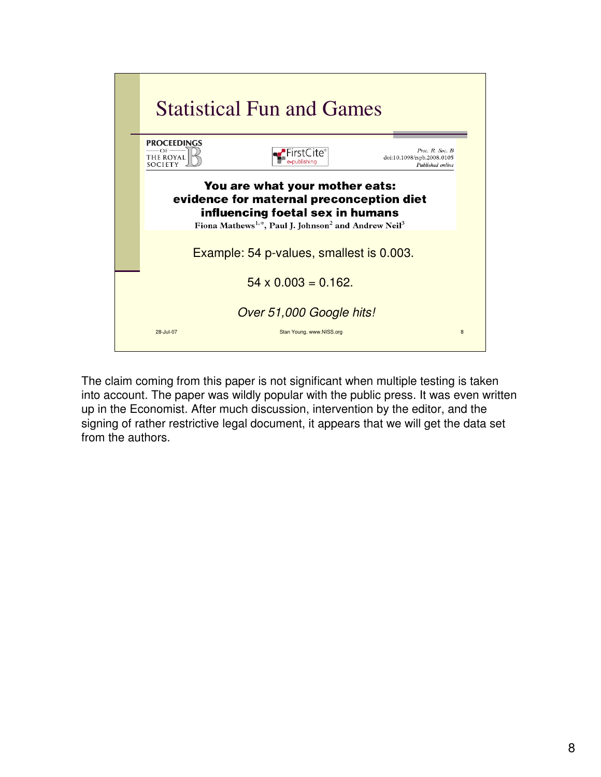

The claim coming from this paper is not significant when multiple testing is taken into account. The paper was wildly popular with the public press. It was even written up in the Economist. After much discussion, intervention by the editor, and the signing of rather restrictive legal document, it appears that we will get the data set from the authors.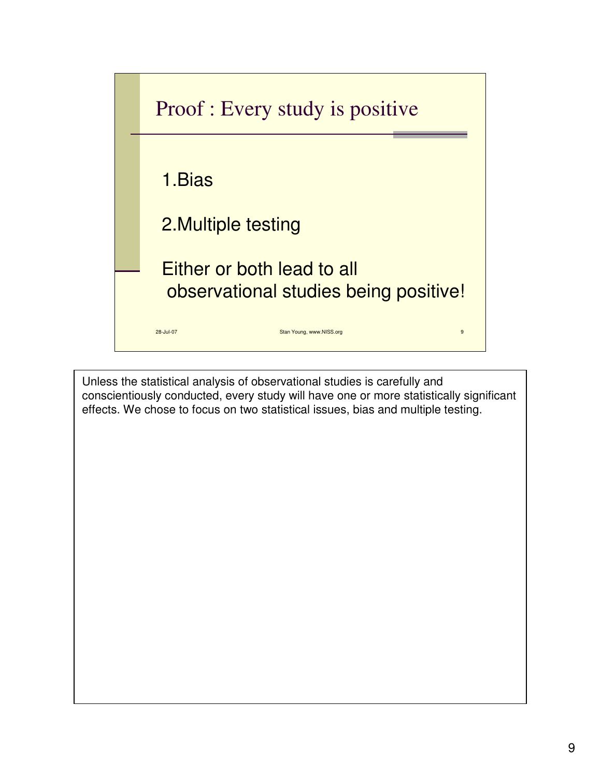

Unless the statistical analysis of observational studies is carefully and conscientiously conducted, every study will have one or more statistically significant effects. We chose to focus on two statistical issues, bias and multiple testing.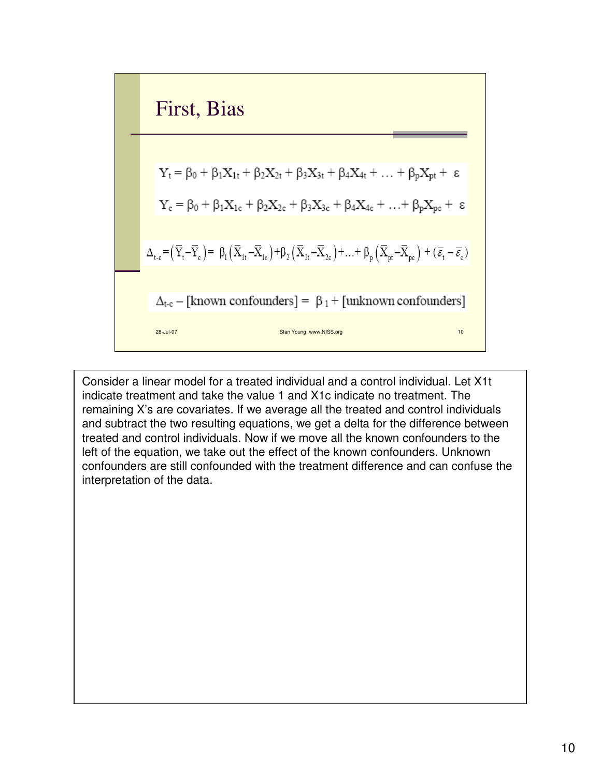| First, Bias                                                                                                                                                                                                                                                              |
|--------------------------------------------------------------------------------------------------------------------------------------------------------------------------------------------------------------------------------------------------------------------------|
| $Y_t = \beta_0 + \beta_1 X_{1t} + \beta_2 X_{2t} + \beta_3 X_{3t} + \beta_4 X_{4t} + \dots + \beta_p X_{pt} + \epsilon$                                                                                                                                                  |
| $Y_c = \beta_0 + \beta_1 X_{1c} + \beta_2 X_{2c} + \beta_3 X_{3c} + \beta_4 X_{4c} + \dots + \beta_p X_{pc} + \epsilon$                                                                                                                                                  |
| $\Delta_{t-c} = (\overline{Y}_t - \overline{Y}_c) = \beta_1 (\overline{X}_{1t} - \overline{X}_{1c}) + \beta_2 (\overline{X}_{2t} - \overline{X}_{2c}) + \dots + \beta_p (\overline{X}_{pt} - \overline{X}_{pc}) + (\overline{\varepsilon}_t - \overline{\varepsilon}_c)$ |
| $\Delta_{t-c} = [\text{known confounders}] = \beta_1 + [\text{unknown confounders}]$                                                                                                                                                                                     |

Consider a linear model for a treated individual and a control individual. Let X1t indicate treatment and take the value 1 and X1c indicate no treatment. The remaining X's are covariates. If we average all the treated and control individuals and subtract the two resulting equations, we get a delta for the difference between treated and control individuals. Now if we move all the known confounders to the left of the equation, we take out the effect of the known confounders. Unknown confounders are still confounded with the treatment difference and can confuse the interpretation of the data.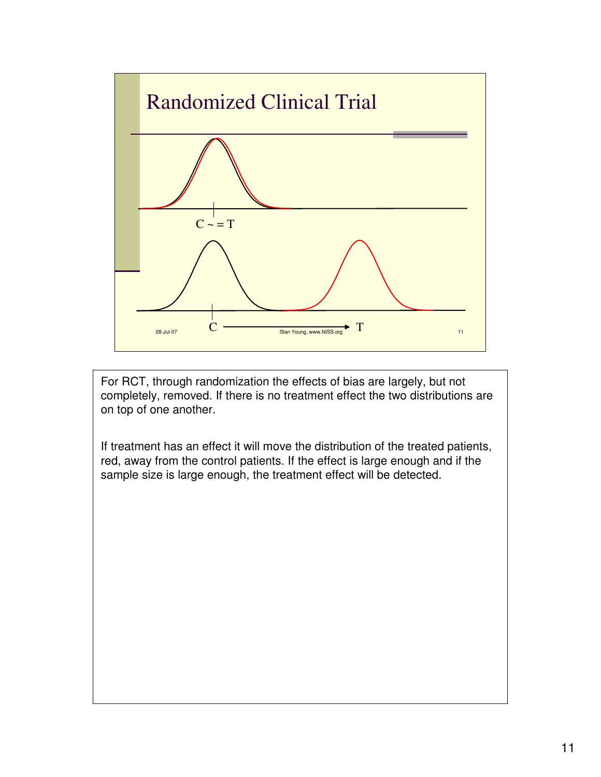

For RCT, through randomization the effects of bias are largely, but not completely, removed. If there is no treatment effect the two distributions are on top of one another.

If treatment has an effect it will move the distribution of the treated patients, red, away from the control patients. If the effect is large enough and if the sample size is large enough, the treatment effect will be detected.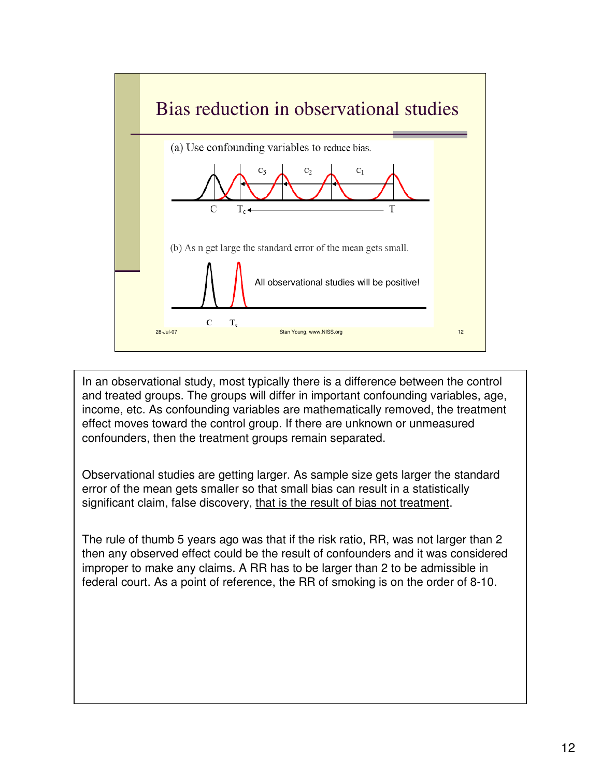

In an observational study, most typically there is a difference between the control and treated groups. The groups will differ in important confounding variables, age, income, etc. As confounding variables are mathematically removed, the treatment effect moves toward the control group. If there are unknown or unmeasured confounders, then the treatment groups remain separated.

Observational studies are getting larger. As sample size gets larger the standard error of the mean gets smaller so that small bias can result in a statistically significant claim, false discovery, that is the result of bias not treatment.

The rule of thumb 5 years ago was that if the risk ratio, RR, was not larger than 2 then any observed effect could be the result of confounders and it was considered improper to make any claims. A RR has to be larger than 2 to be admissible in federal court. As a point of reference, the RR of smoking is on the order of 8-10.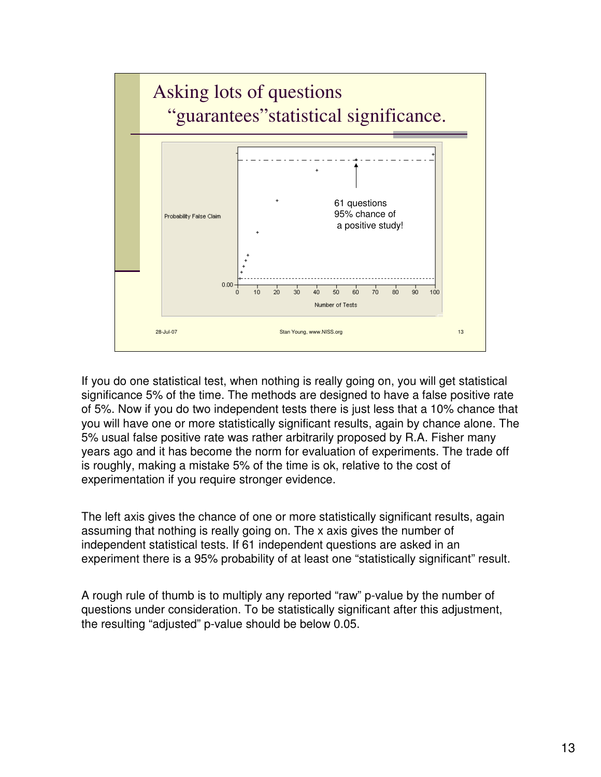

If you do one statistical test, when nothing is really going on, you will get statistical significance 5% of the time. The methods are designed to have a false positive rate of 5%. Now if you do two independent tests there is just less that a 10% chance that you will have one or more statistically significant results, again by chance alone. The 5% usual false positive rate was rather arbitrarily proposed by R.A. Fisher many years ago and it has become the norm for evaluation of experiments. The trade off is roughly, making a mistake 5% of the time is ok, relative to the cost of experimentation if you require stronger evidence.

The left axis gives the chance of one or more statistically significant results, again assuming that nothing is really going on. The x axis gives the number of independent statistical tests. If 61 independent questions are asked in an experiment there is a 95% probability of at least one "statistically significant" result.

A rough rule of thumb is to multiply any reported "raw" p-value by the number of questions under consideration. To be statistically significant after this adjustment, the resulting "adjusted" p-value should be below 0.05.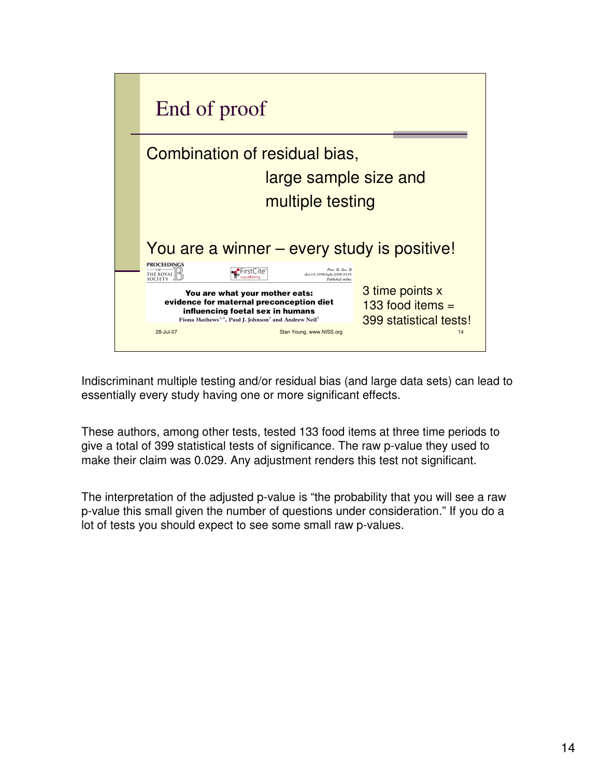

Indiscriminant multiple testing and/or residual bias (and large data sets) can lead to essentially every study having one or more significant effects.

These authors, among other tests, tested 133 food items at three time periods to give a total of 399 statistical tests of significance. The raw p-value they used to make their claim was 0.029. Any adjustment renders this test not significant.

The interpretation of the adjusted p-value is "the probability that you will see a raw p-value this small given the number of questions under consideration." If you do a lot of tests you should expect to see some small raw p-values.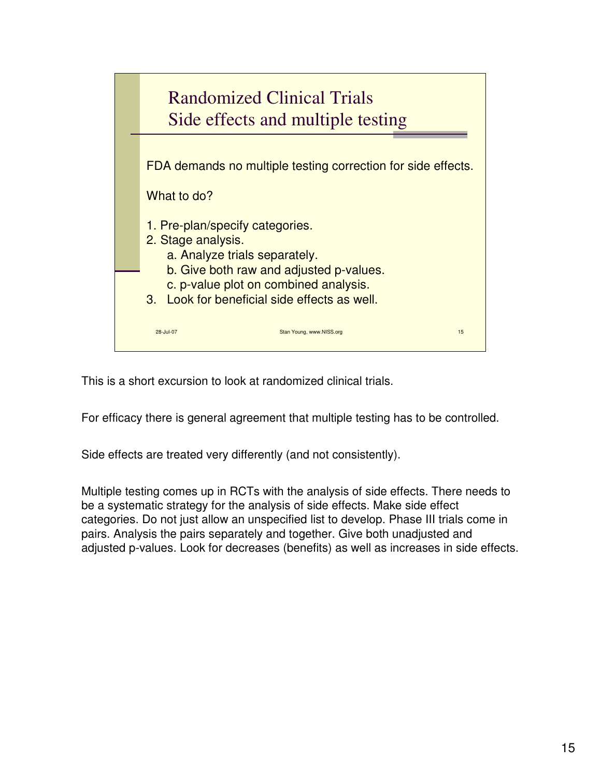

This is a short excursion to look at randomized clinical trials.

For efficacy there is general agreement that multiple testing has to be controlled.

Side effects are treated very differently (and not consistently).

Multiple testing comes up in RCTs with the analysis of side effects. There needs to be a systematic strategy for the analysis of side effects. Make side effect categories. Do not just allow an unspecified list to develop. Phase III trials come in pairs. Analysis the pairs separately and together. Give both unadjusted and adjusted p-values. Look for decreases (benefits) as well as increases in side effects.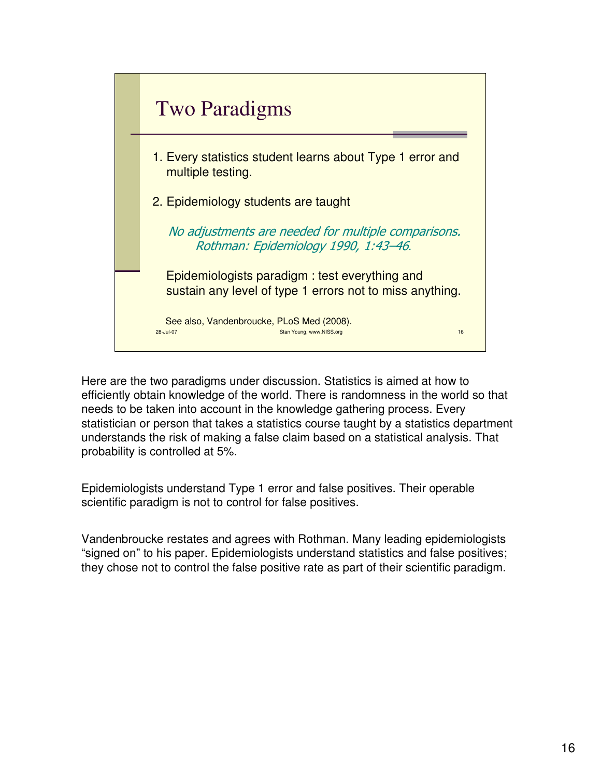

Here are the two paradigms under discussion. Statistics is aimed at how to efficiently obtain knowledge of the world. There is randomness in the world so that needs to be taken into account in the knowledge gathering process. Every statistician or person that takes a statistics course taught by a statistics department understands the risk of making a false claim based on a statistical analysis. That probability is controlled at 5%.

Epidemiologists understand Type 1 error and false positives. Their operable scientific paradigm is not to control for false positives.

Vandenbroucke restates and agrees with Rothman. Many leading epidemiologists "signed on" to his paper. Epidemiologists understand statistics and false positives; they chose not to control the false positive rate as part of their scientific paradigm.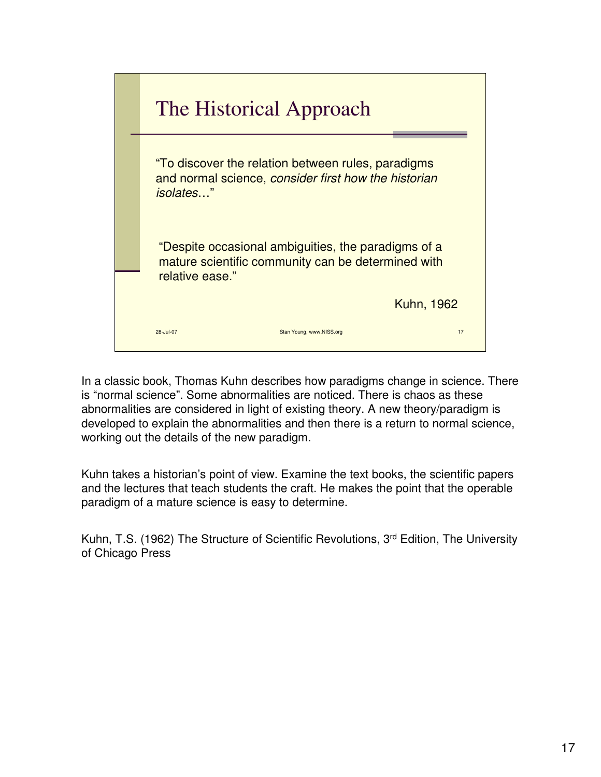

In a classic book, Thomas Kuhn describes how paradigms change in science. There is "normal science". Some abnormalities are noticed. There is chaos as these abnormalities are considered in light of existing theory. A new theory/paradigm is developed to explain the abnormalities and then there is a return to normal science, working out the details of the new paradigm.

Kuhn takes a historian's point of view. Examine the text books, the scientific papers and the lectures that teach students the craft. He makes the point that the operable paradigm of a mature science is easy to determine.

Kuhn, T.S. (1962) The Structure of Scientific Revolutions, 3rd Edition, The University of Chicago Press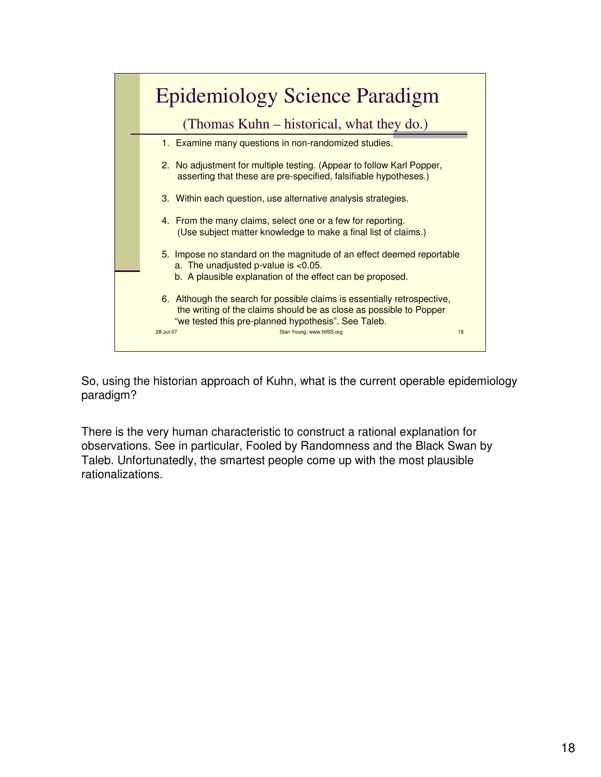

So, using the historian approach of Kuhn, what is the current operable epidemiology paradigm?

There is the very human characteristic to construct a rational explanation for observations. See in particular, Fooled by Randomness and the Black Swan by Taleb. Unfortunatedly, the smartest people come up with the most plausible rationalizations.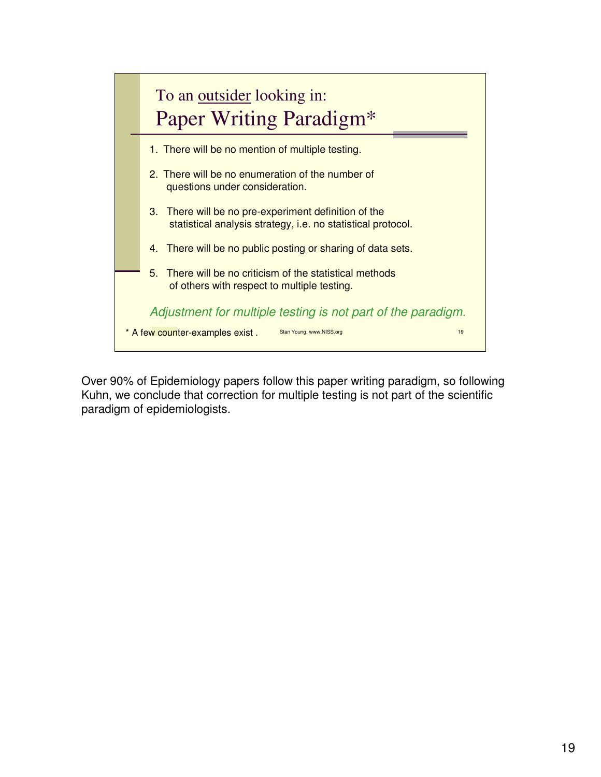

Over 90% of Epidemiology papers follow this paper writing paradigm, so following Kuhn, we conclude that correction for multiple testing is not part of the scientific paradigm of epidemiologists.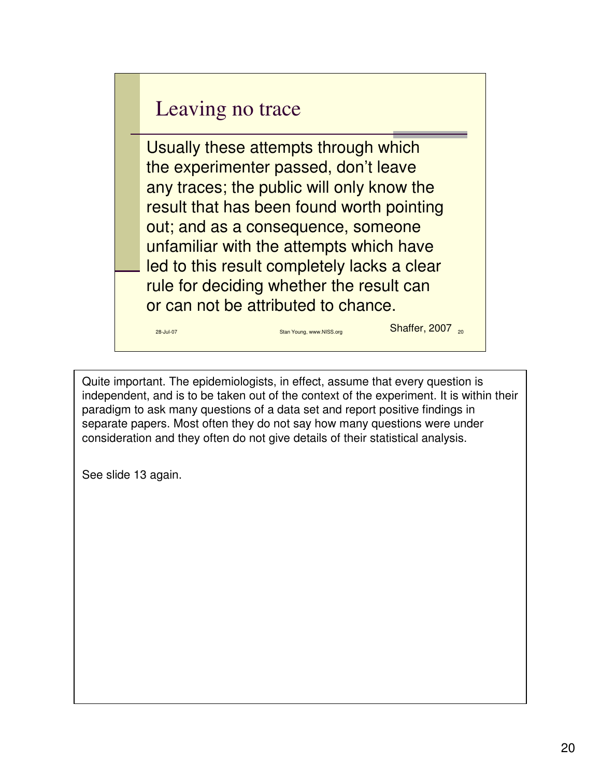## Leaving no trace

28-Jul-07 Stan Young, www.NISS.org

Usually these attempts through which the experimenter passed, don't leave any traces; the public will only know the result that has been found worth pointing out; and as a consequence, someone unfamiliar with the attempts which have led to this result completely lacks a clear rule for deciding whether the result can or can not be attributed to chance.

Quite important. The epidemiologists, in effect, assume that every question is independent, and is to be taken out of the context of the experiment. It is within their paradigm to ask many questions of a data set and report positive findings in separate papers. Most often they do not say how many questions were under consideration and they often do not give details of their statistical analysis.

**Shaffer, 2007** 20

See slide 13 again.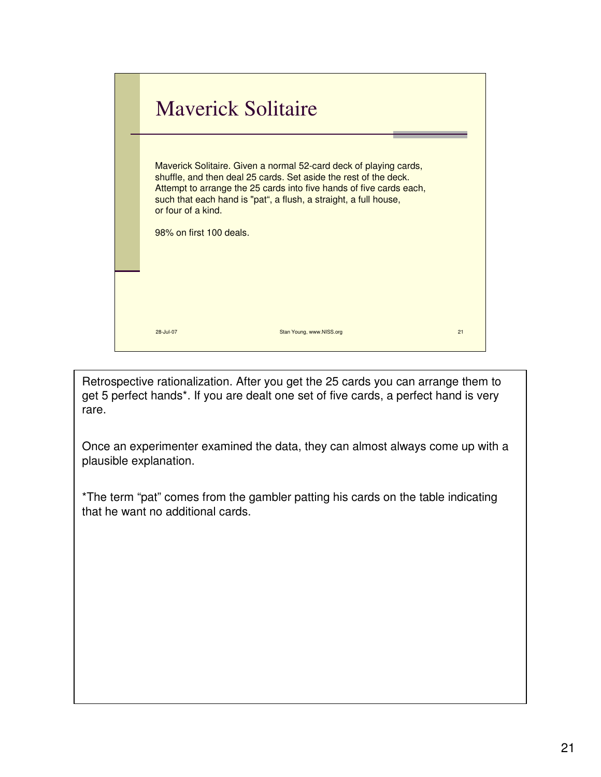

Retrospective rationalization. After you get the 25 cards you can arrange them to get 5 perfect hands\*. If you are dealt one set of five cards, a perfect hand is very rare.

Once an experimenter examined the data, they can almost always come up with a plausible explanation.

\*The term "pat" comes from the gambler patting his cards on the table indicating that he want no additional cards.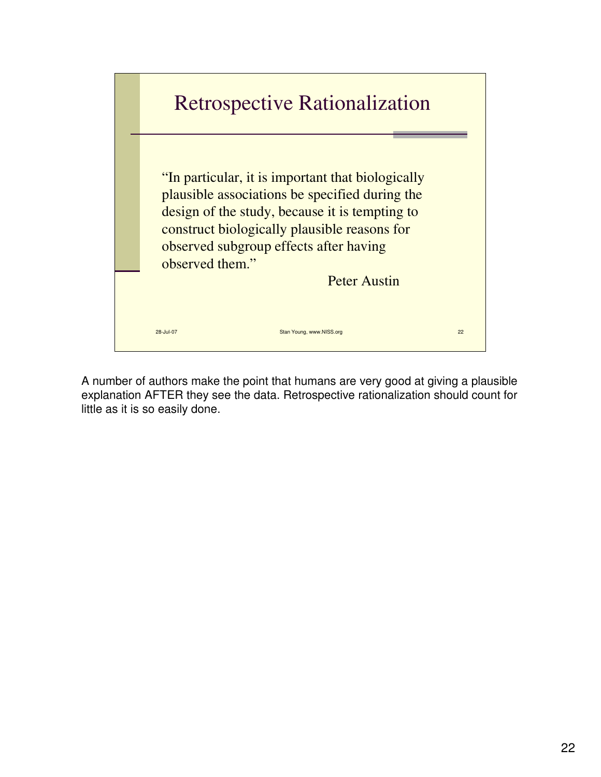

A number of authors make the point that humans are very good at giving a plausible explanation AFTER they see the data. Retrospective rationalization should count for little as it is so easily done.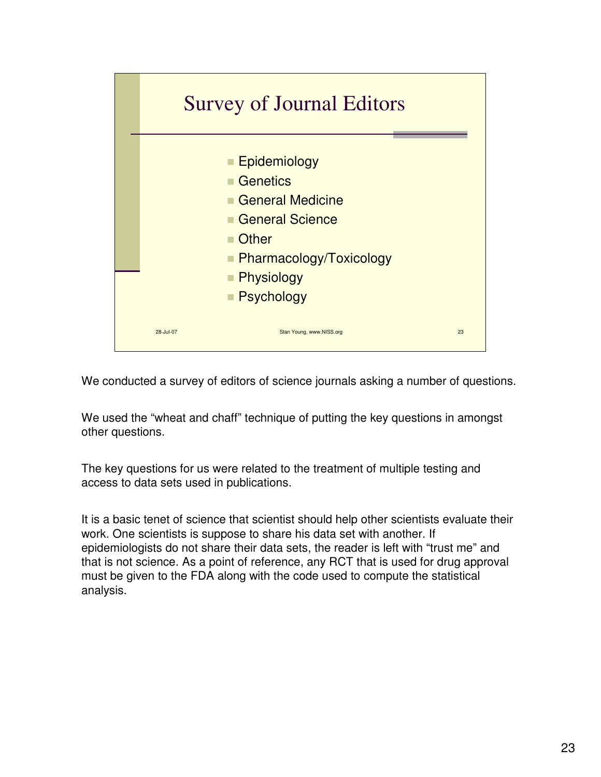

We conducted a survey of editors of science journals asking a number of questions.

We used the "wheat and chaff" technique of putting the key questions in amongst other questions.

The key questions for us were related to the treatment of multiple testing and access to data sets used in publications.

It is a basic tenet of science that scientist should help other scientists evaluate their work. One scientists is suppose to share his data set with another. If epidemiologists do not share their data sets, the reader is left with "trust me" and that is not science. As a point of reference, any RCT that is used for drug approval must be given to the FDA along with the code used to compute the statistical analysis.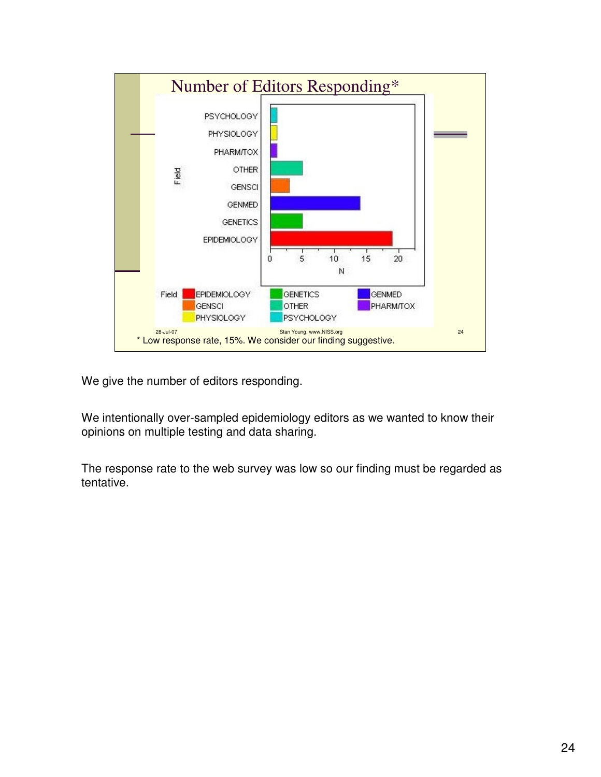

We give the number of editors responding.

We intentionally over-sampled epidemiology editors as we wanted to know their opinions on multiple testing and data sharing.

The response rate to the web survey was low so our finding must be regarded as tentative.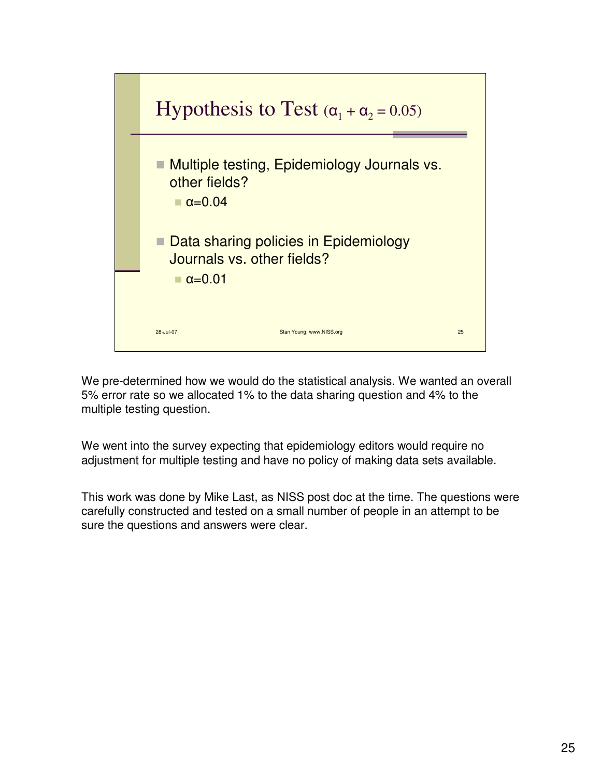

We pre-determined how we would do the statistical analysis. We wanted an overall 5% error rate so we allocated 1% to the data sharing question and 4% to the multiple testing question.

We went into the survey expecting that epidemiology editors would require no adjustment for multiple testing and have no policy of making data sets available.

This work was done by Mike Last, as NISS post doc at the time. The questions were carefully constructed and tested on a small number of people in an attempt to be sure the questions and answers were clear.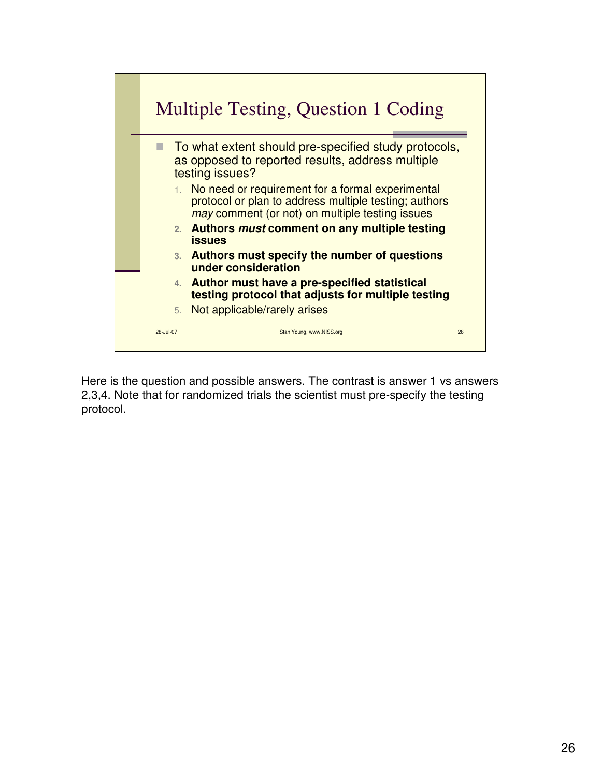

Here is the question and possible answers. The contrast is answer 1 vs answers 2,3,4. Note that for randomized trials the scientist must pre-specify the testing protocol.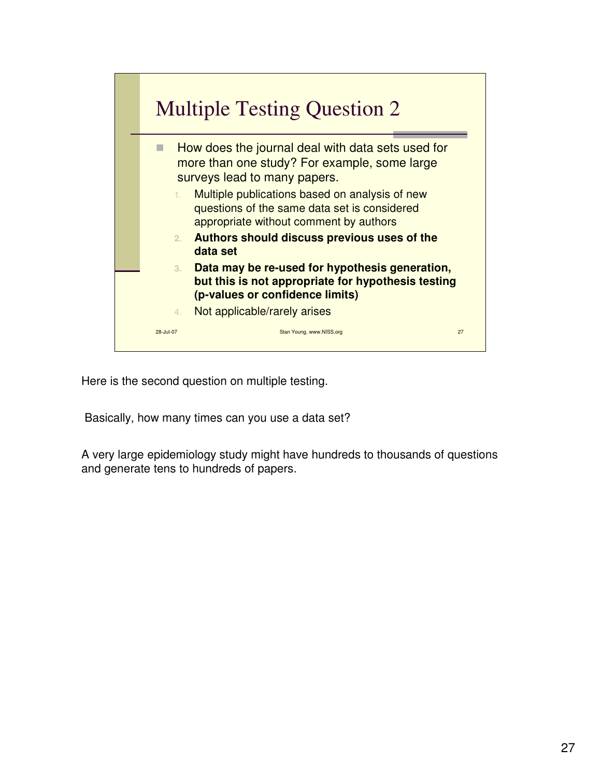

Here is the second question on multiple testing.

Basically, how many times can you use a data set?

A very large epidemiology study might have hundreds to thousands of questions and generate tens to hundreds of papers.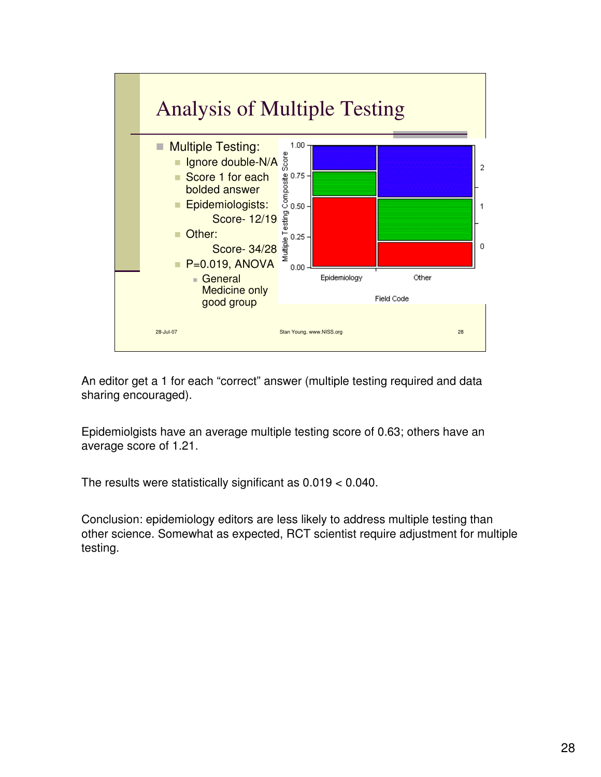

An editor get a 1 for each "correct" answer (multiple testing required and data sharing encouraged).

Epidemiolgists have an average multiple testing score of 0.63; others have an average score of 1.21.

The results were statistically significant as 0.019 < 0.040.

Conclusion: epidemiology editors are less likely to address multiple testing than other science. Somewhat as expected, RCT scientist require adjustment for multiple testing.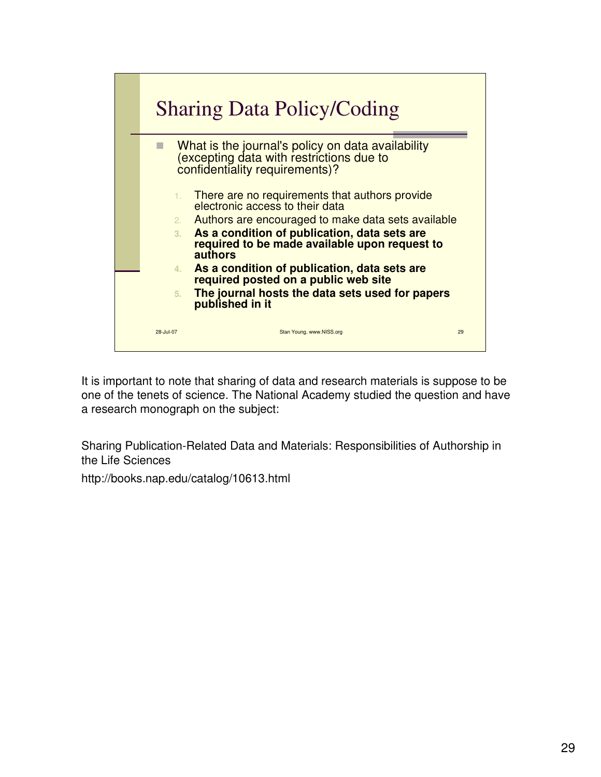

It is important to note that sharing of data and research materials is suppose to be one of the tenets of science. The National Academy studied the question and have a research monograph on the subject:

Sharing Publication-Related Data and Materials: Responsibilities of Authorship in the Life Sciences

http://books.nap.edu/catalog/10613.html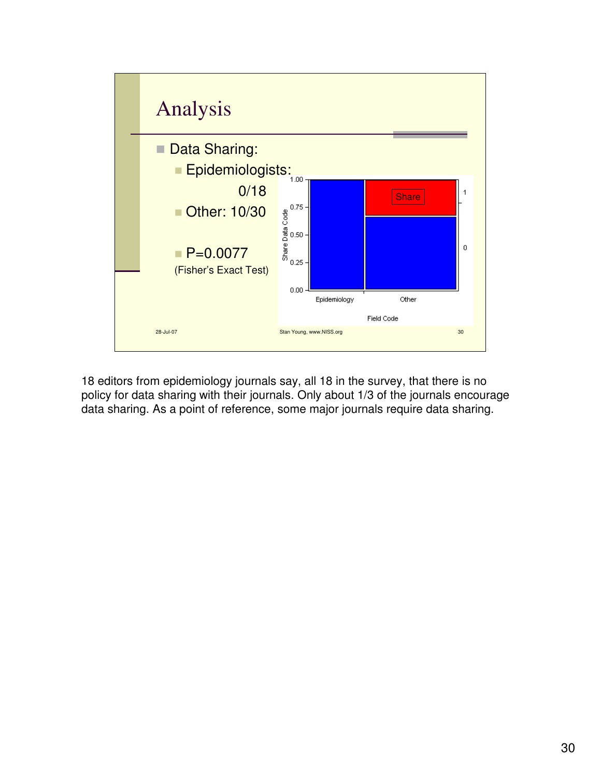

18 editors from epidemiology journals say, all 18 in the survey, that there is no policy for data sharing with their journals. Only about 1/3 of the journals encourage data sharing. As a point of reference, some major journals require data sharing.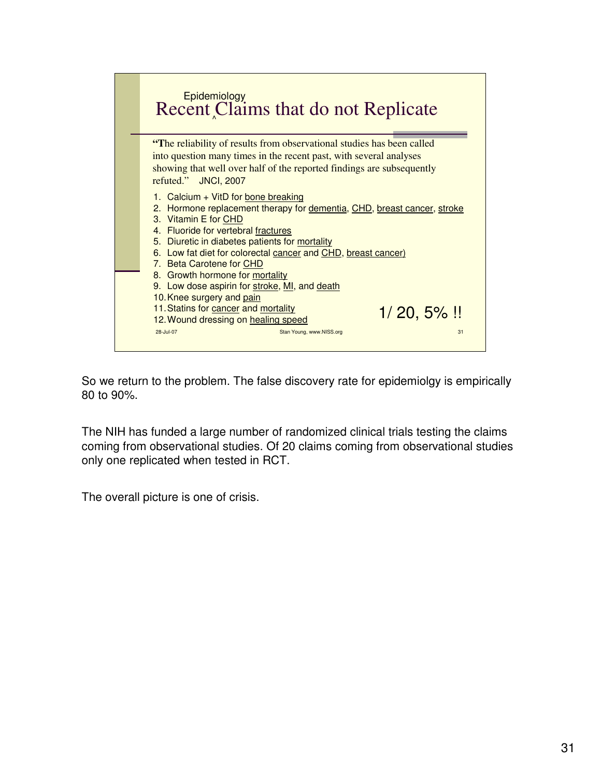![](_page_30_Figure_0.jpeg)

So we return to the problem. The false discovery rate for epidemiolgy is empirically 80 to 90%.

The NIH has funded a large number of randomized clinical trials testing the claims coming from observational studies. Of 20 claims coming from observational studies only one replicated when tested in RCT.

The overall picture is one of crisis.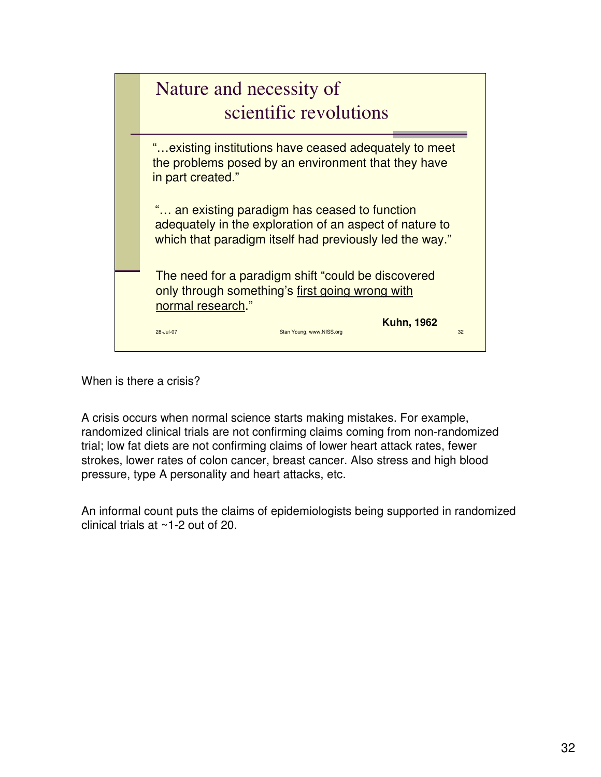![](_page_31_Picture_0.jpeg)

When is there a crisis?

A crisis occurs when normal science starts making mistakes. For example, randomized clinical trials are not confirming claims coming from non-randomized trial; low fat diets are not confirming claims of lower heart attack rates, fewer strokes, lower rates of colon cancer, breast cancer. Also stress and high blood pressure, type A personality and heart attacks, etc.

An informal count puts the claims of epidemiologists being supported in randomized clinical trials at ~1-2 out of 20.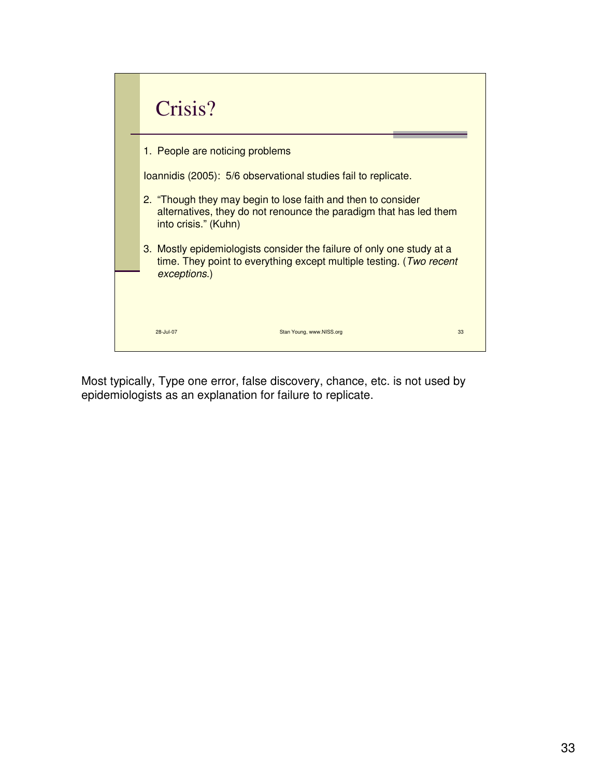| Crisis?                                                                                                                                                      |  |  |
|--------------------------------------------------------------------------------------------------------------------------------------------------------------|--|--|
| 1. People are noticing problems                                                                                                                              |  |  |
| Ioannidis (2005): 5/6 observational studies fail to replicate.                                                                                               |  |  |
| 2. "Though they may begin to lose faith and then to consider<br>alternatives, they do not renounce the paradigm that has led them<br>into crisis." (Kuhn)    |  |  |
| 3. Mostly epidemiologists consider the failure of only one study at a<br>time. They point to everything except multiple testing. (Two recent<br>exceptions.) |  |  |
|                                                                                                                                                              |  |  |
| Stan Young, www.NISS.org<br>33<br>28-Jul-07                                                                                                                  |  |  |

Most typically, Type one error, false discovery, chance, etc. is not used by epidemiologists as an explanation for failure to replicate.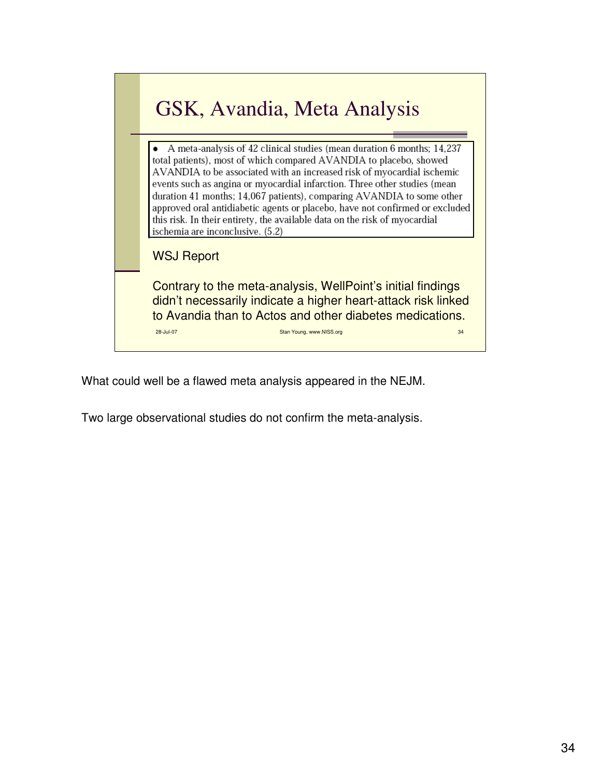![](_page_33_Picture_0.jpeg)

What could well be a flawed meta analysis appeared in the NEJM.

Two large observational studies do not confirm the meta-analysis.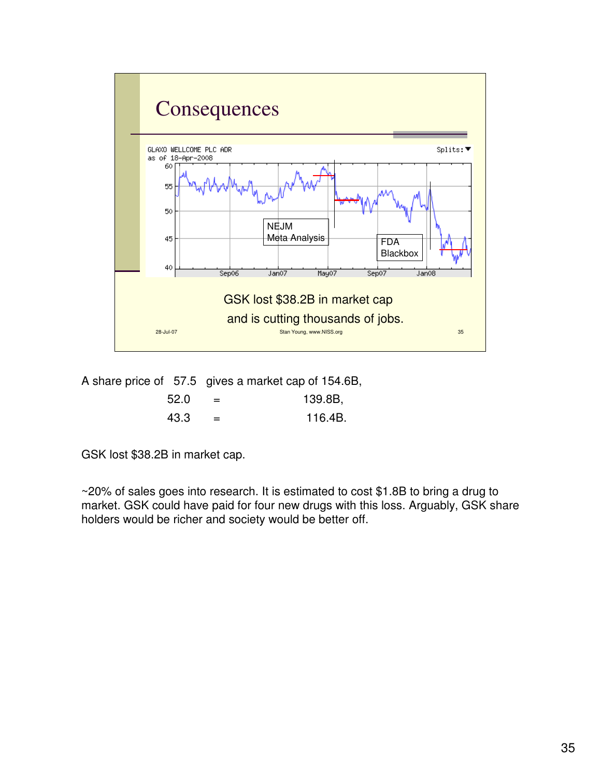![](_page_34_Figure_0.jpeg)

A share price of 57.5 gives a market cap of 154.6B,

| 52.0 | $=$ | 139.8B, |
|------|-----|---------|
| 43.3 | $=$ | 116.4B. |

GSK lost \$38.2B in market cap.

~20% of sales goes into research. It is estimated to cost \$1.8B to bring a drug to market. GSK could have paid for four new drugs with this loss. Arguably, GSK share holders would be richer and society would be better off.